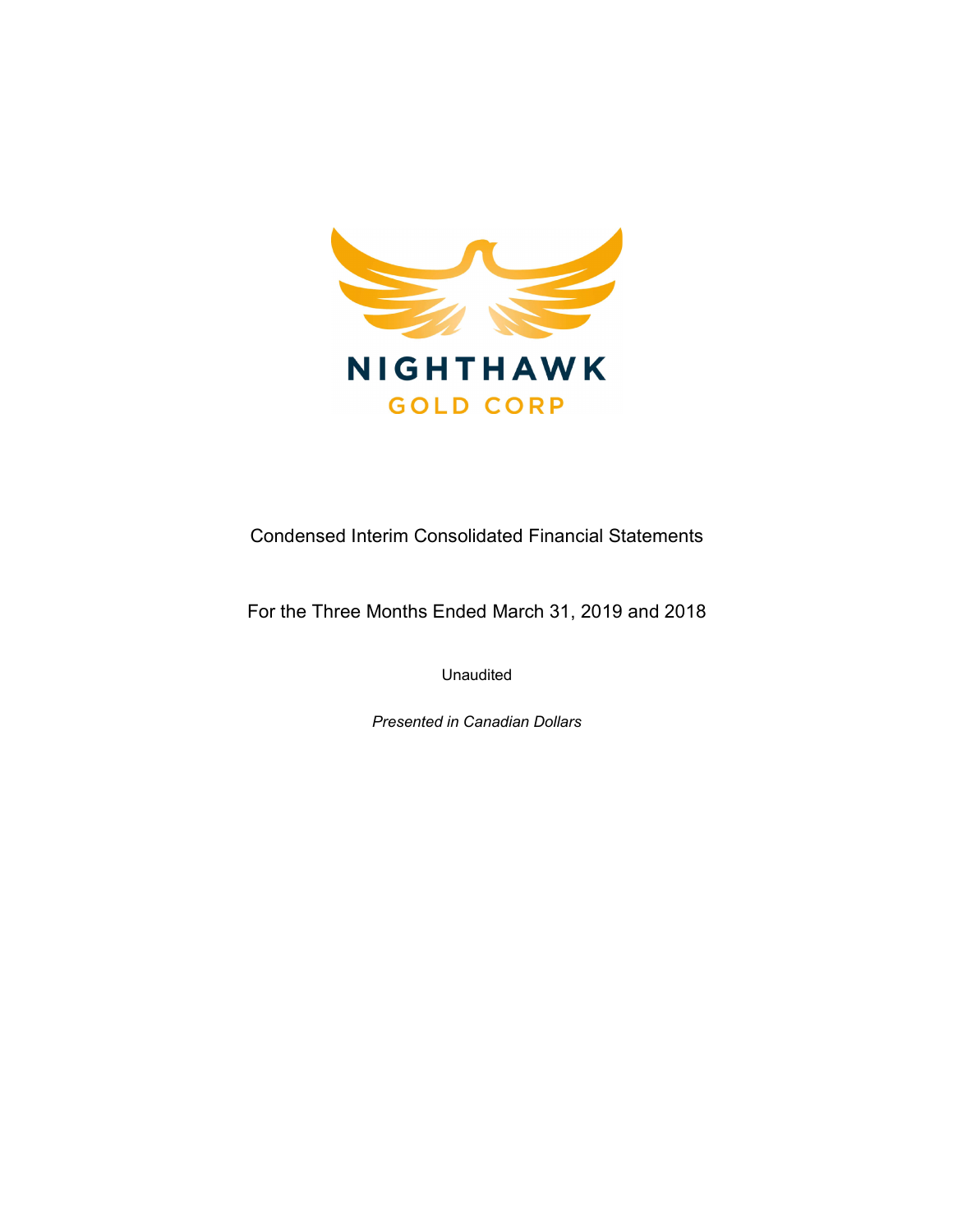

Condensed Interim Consolidated Financial Statements

For the Three Months Ended March 31, 2019 and 2018

Unaudited

Presented in Canadian Dollars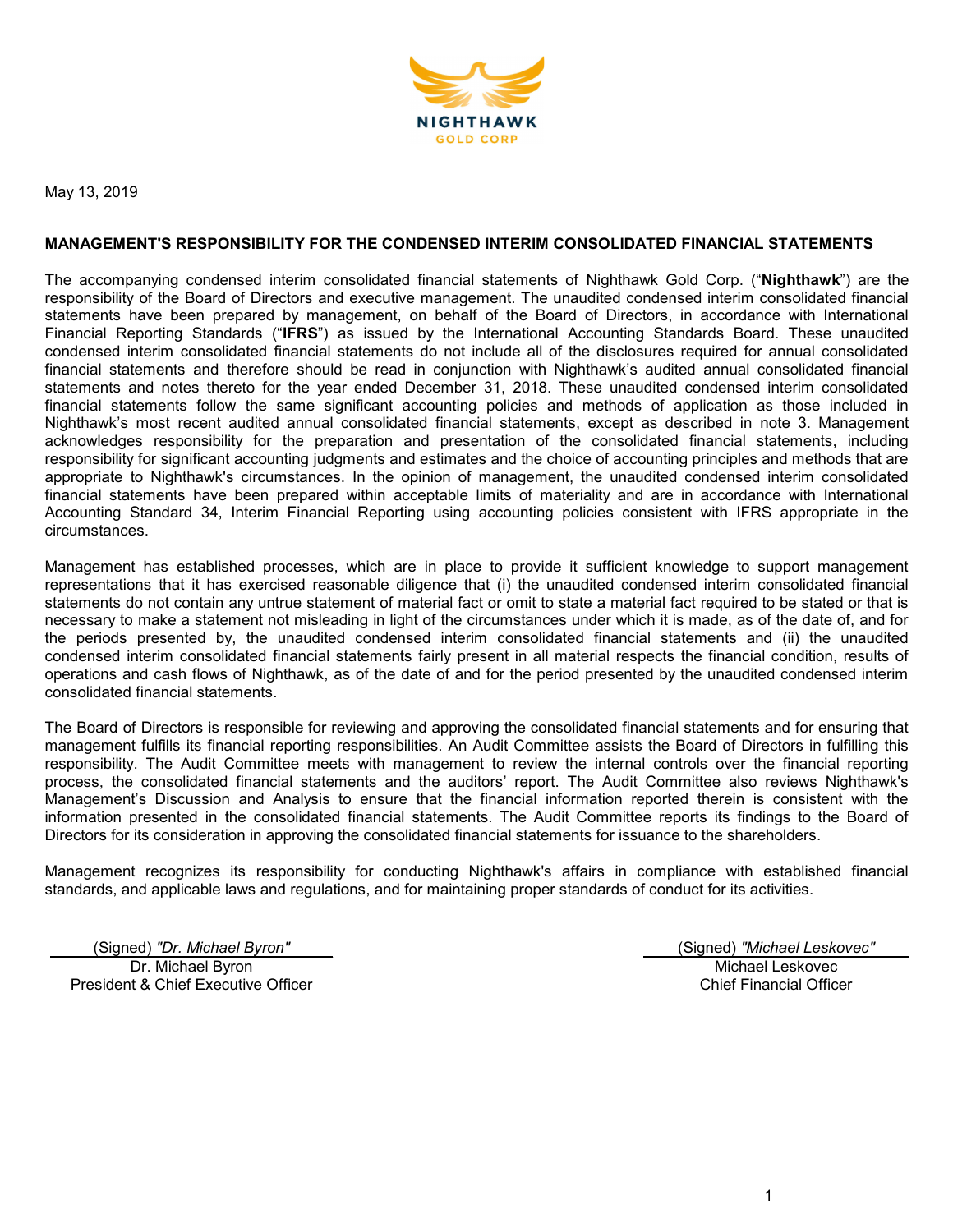

May 13, 2019

#### MANAGEMENT'S RESPONSIBILITY FOR THE CONDENSED INTERIM CONSOLIDATED FINANCIAL STATEMENTS

The accompanying condensed interim consolidated financial statements of Nighthawk Gold Corp. ("Nighthawk") are the responsibility of the Board of Directors and executive management. The unaudited condensed interim consolidated financial statements have been prepared by management, on behalf of the Board of Directors, in accordance with International Financial Reporting Standards ("IFRS") as issued by the International Accounting Standards Board. These unaudited condensed interim consolidated financial statements do not include all of the disclosures required for annual consolidated financial statements and therefore should be read in conjunction with Nighthawk's audited annual consolidated financial statements and notes thereto for the year ended December 31, 2018. These unaudited condensed interim consolidated financial statements follow the same significant accounting policies and methods of application as those included in Nighthawk's most recent audited annual consolidated financial statements, except as described in note 3. Management acknowledges responsibility for the preparation and presentation of the consolidated financial statements, including responsibility for significant accounting judgments and estimates and the choice of accounting principles and methods that are appropriate to Nighthawk's circumstances. In the opinion of management, the unaudited condensed interim consolidated financial statements have been prepared within acceptable limits of materiality and are in accordance with International Accounting Standard 34, Interim Financial Reporting using accounting policies consistent with IFRS appropriate in the circumstances.

Management has established processes, which are in place to provide it sufficient knowledge to support management representations that it has exercised reasonable diligence that (i) the unaudited condensed interim consolidated financial statements do not contain any untrue statement of material fact or omit to state a material fact required to be stated or that is necessary to make a statement not misleading in light of the circumstances under which it is made, as of the date of, and for the periods presented by, the unaudited condensed interim consolidated financial statements and (ii) the unaudited condensed interim consolidated financial statements fairly present in all material respects the financial condition, results of operations and cash flows of Nighthawk, as of the date of and for the period presented by the unaudited condensed interim consolidated financial statements.

The Board of Directors is responsible for reviewing and approving the consolidated financial statements and for ensuring that management fulfills its financial reporting responsibilities. An Audit Committee assists the Board of Directors in fulfilling this responsibility. The Audit Committee meets with management to review the internal controls over the financial reporting process, the consolidated financial statements and the auditors' report. The Audit Committee also reviews Nighthawk's Management's Discussion and Analysis to ensure that the financial information reported therein is consistent with the information presented in the consolidated financial statements. The Audit Committee reports its findings to the Board of Directors for its consideration in approving the consolidated financial statements for issuance to the shareholders.

Management recognizes its responsibility for conducting Nighthawk's affairs in compliance with established financial standards, and applicable laws and regulations, and for maintaining proper standards of conduct for its activities.

Dr. Michael Byron President & Chief Executive Officer

(Signed) "Dr. Michael Byron" (Signed) "Michael Leskovec" Michael Leskovec Chief Financial Officer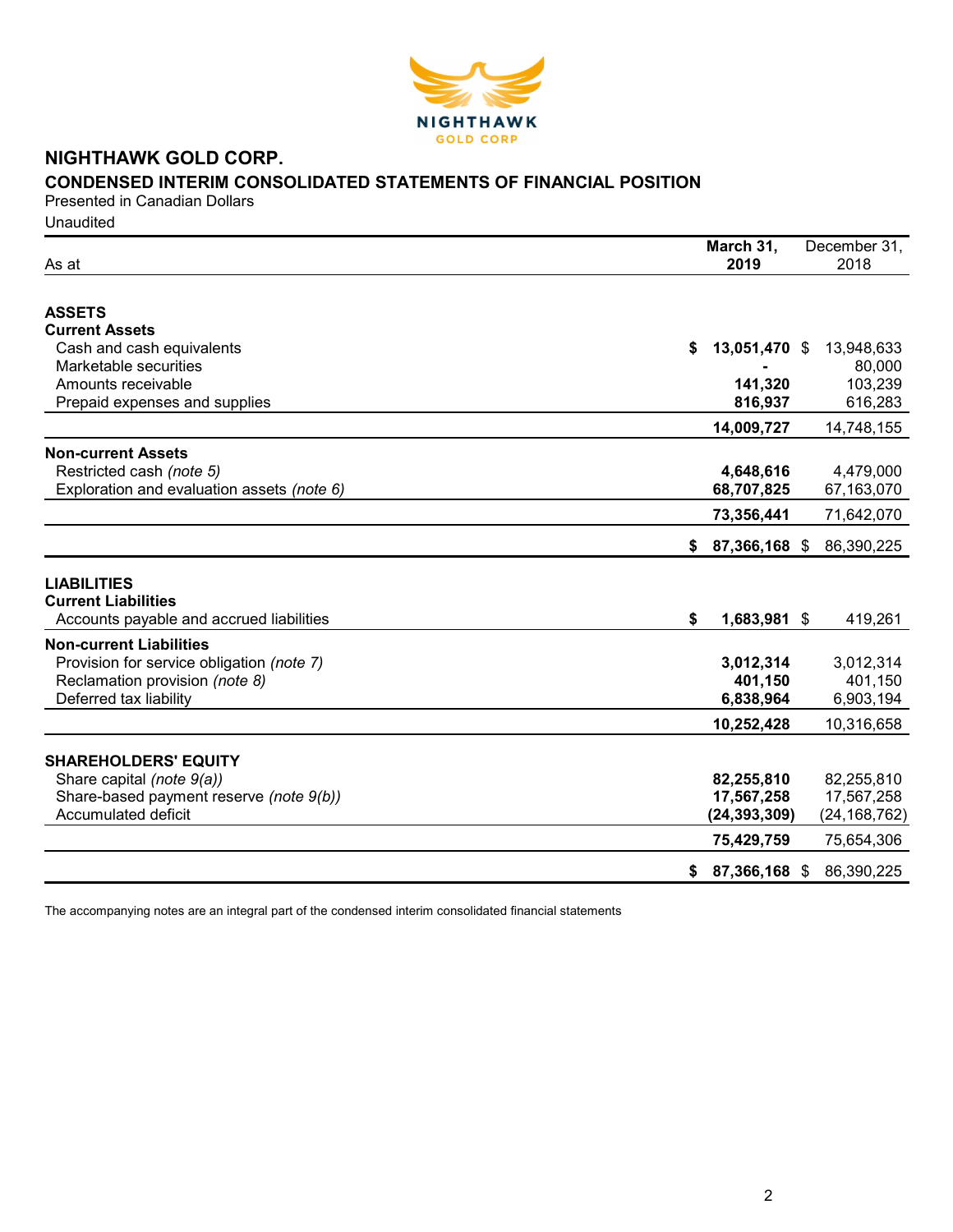

# NIGHTHAWK GOLD CORP. CONDENSED INTERIM CONSOLIDATED STATEMENTS OF FINANCIAL POSITION

Presented in Canadian Dollars **Unaudited** 

| As at                                            | March 31,<br>2019   |               | December 31,<br>2018 |
|--------------------------------------------------|---------------------|---------------|----------------------|
| <b>ASSETS</b>                                    |                     |               |                      |
| <b>Current Assets</b>                            |                     |               |                      |
| Cash and cash equivalents                        | \$                  | 13,051,470 \$ | 13,948,633           |
| Marketable securities                            |                     |               | 80,000               |
| Amounts receivable                               |                     | 141,320       | 103,239              |
| Prepaid expenses and supplies                    |                     | 816,937       | 616,283              |
|                                                  | 14,009,727          |               | 14,748,155           |
| <b>Non-current Assets</b>                        |                     |               |                      |
| Restricted cash (note 5)                         | 4,648,616           |               | 4,479,000            |
| Exploration and evaluation assets (note 6)       | 68,707,825          |               | 67,163,070           |
|                                                  | 73,356,441          |               | 71,642,070           |
|                                                  |                     |               |                      |
|                                                  | 87,366,168 \$<br>\$ |               | 86,390,225           |
|                                                  |                     |               |                      |
| <b>LIABILITIES</b><br><b>Current Liabilities</b> |                     |               |                      |
|                                                  | \$                  |               |                      |
| Accounts payable and accrued liabilities         |                     | 1,683,981 \$  | 419,261              |
| <b>Non-current Liabilities</b>                   |                     |               |                      |
| Provision for service obligation (note 7)        | 3,012,314           |               | 3,012,314            |
| Reclamation provision (note 8)                   |                     | 401,150       | 401,150              |
| Deferred tax liability                           | 6,838,964           |               | 6,903,194            |
|                                                  | 10,252,428          |               | 10,316,658           |
|                                                  |                     |               |                      |
| <b>SHAREHOLDERS' EQUITY</b>                      |                     |               |                      |
| Share capital (note 9(a))                        | 82,255,810          |               | 82,255,810           |
| Share-based payment reserve (note 9(b))          | 17,567,258          |               | 17,567,258           |
| Accumulated deficit                              | (24, 393, 309)      |               | (24, 168, 762)       |
|                                                  | 75,429,759          |               | 75,654,306           |
|                                                  | 87,366,168 \$<br>\$ |               | 86,390,225           |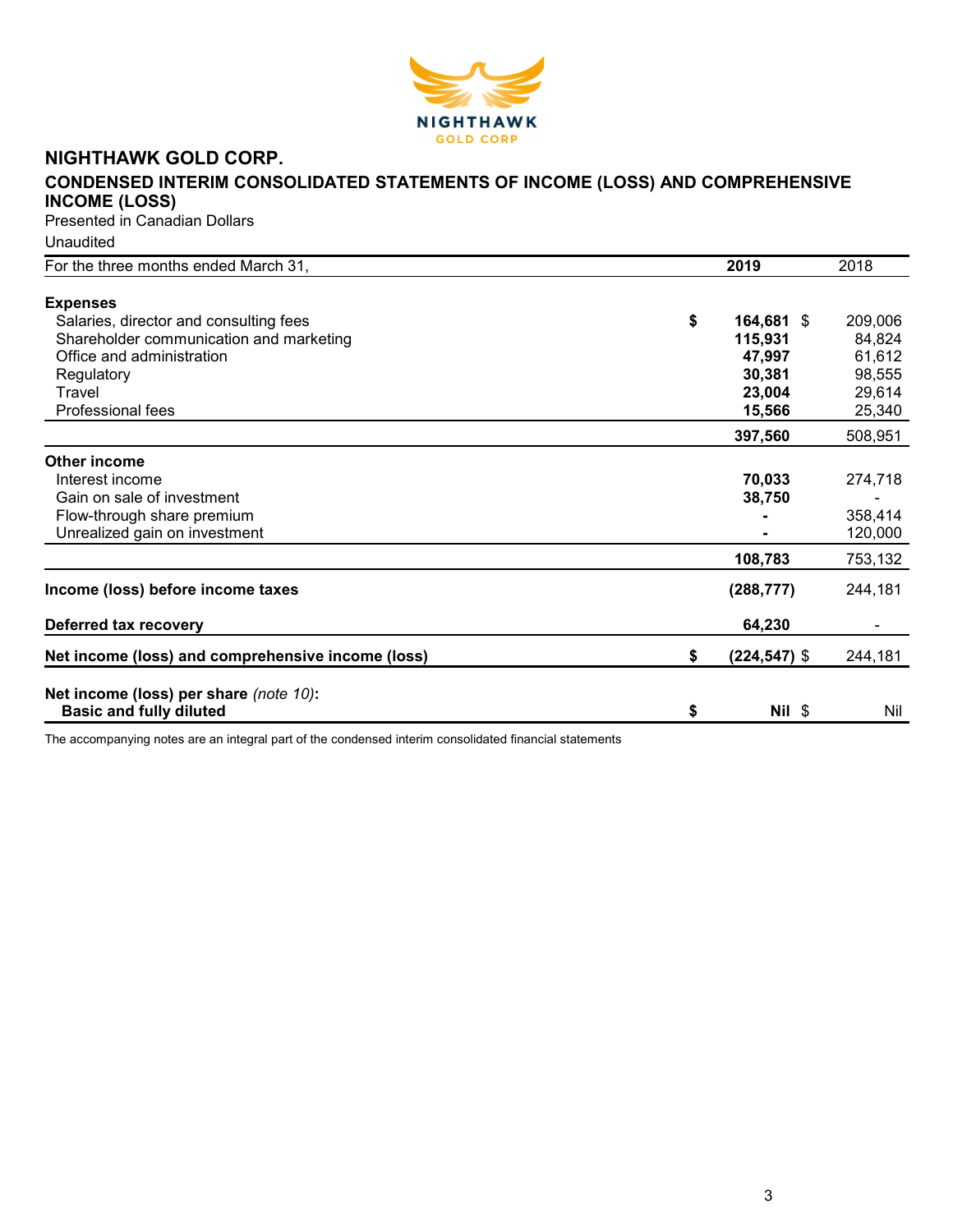

# NIGHTHAWK GOLD CORP.

# CONDENSED INTERIM CONSOLIDATED STATEMENTS OF INCOME (LOSS) AND COMPREHENSIVE INCOME (LOSS)

Presented in Canadian Dollars

Unaudited

| For the three months ended March 31,              | 2019                  | 2018    |
|---------------------------------------------------|-----------------------|---------|
|                                                   |                       |         |
| <b>Expenses</b>                                   |                       |         |
| Salaries, director and consulting fees            | \$<br>164,681 \$      | 209,006 |
| Shareholder communication and marketing           | 115,931               | 84,824  |
| Office and administration                         | 47,997                | 61,612  |
| Regulatory                                        | 30,381                | 98,555  |
| Travel                                            | 23,004                | 29,614  |
| Professional fees                                 | 15,566                | 25,340  |
|                                                   | 397,560               | 508,951 |
| Other income                                      |                       |         |
| Interest income                                   | 70,033                | 274,718 |
| Gain on sale of investment                        | 38,750                |         |
| Flow-through share premium                        |                       | 358,414 |
| Unrealized gain on investment                     |                       | 120,000 |
|                                                   | 108,783               | 753,132 |
| Income (loss) before income taxes                 | (288, 777)            | 244,181 |
|                                                   |                       |         |
| Deferred tax recovery                             | 64,230                |         |
| Net income (loss) and comprehensive income (loss) | \$<br>$(224, 547)$ \$ | 244,181 |
|                                                   |                       |         |
| Net income (loss) per share (note 10):            |                       |         |
| <b>Basic and fully diluted</b>                    | \$<br>$Nil$ \$        | Nil     |
|                                                   |                       |         |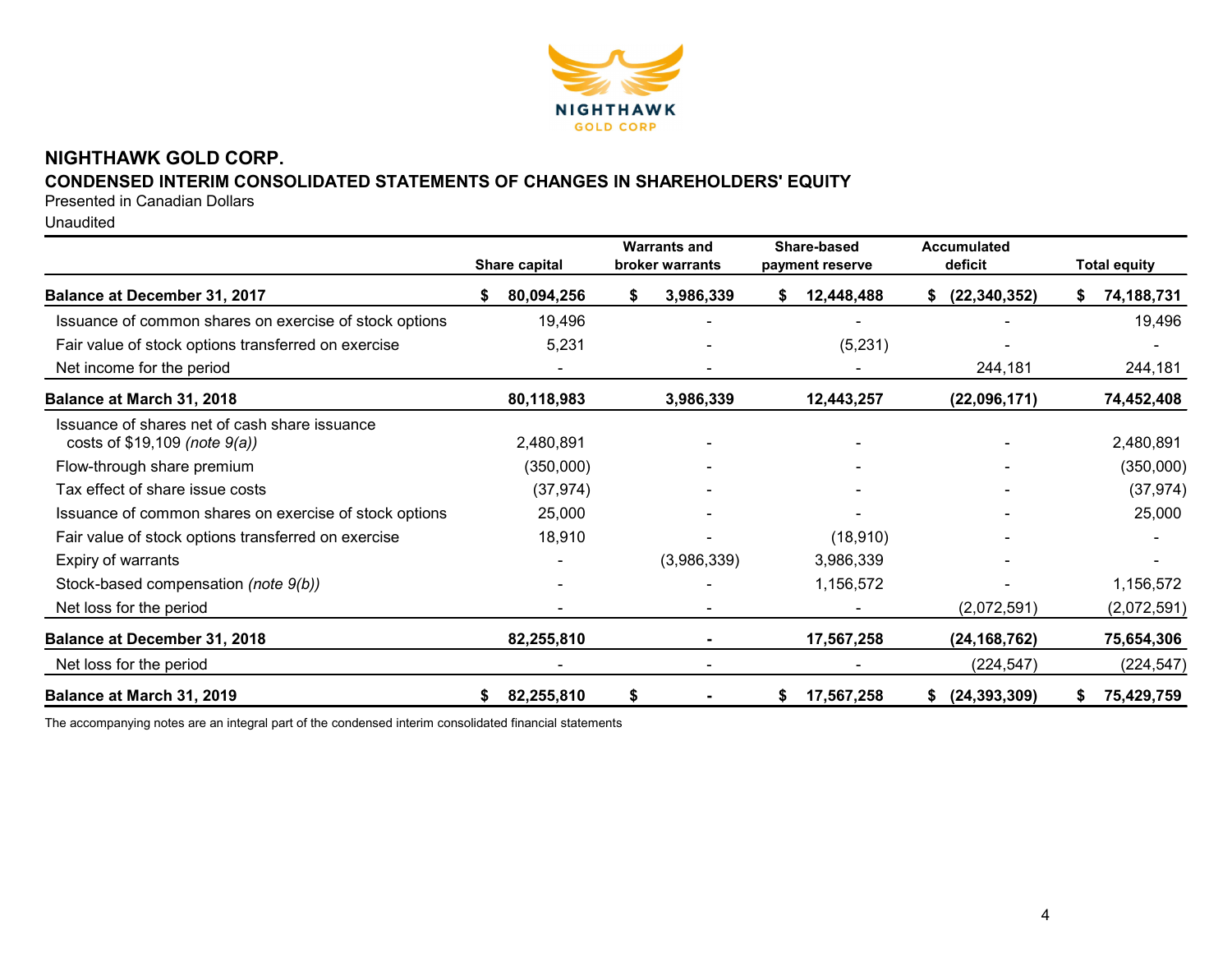

# NIGHTHAWK GOLD CORP.

# CONDENSED INTERIM CONSOLIDATED STATEMENTS OF CHANGES IN SHAREHOLDERS' EQUITY

Presented in Canadian Dollars

Unaudited

|                                                                                | <b>Share capital</b> | <b>Warrants and</b><br>broker warrants | Share-based<br>payment reserve | <b>Accumulated</b><br>deficit | <b>Total equity</b> |
|--------------------------------------------------------------------------------|----------------------|----------------------------------------|--------------------------------|-------------------------------|---------------------|
| Balance at December 31, 2017                                                   | 80,094,256           | 3,986,339<br>S.                        | 12,448,488<br>S.               | (22, 340, 352)<br>S.          | 74,188,731          |
| Issuance of common shares on exercise of stock options                         | 19,496               |                                        |                                |                               | 19,496              |
| Fair value of stock options transferred on exercise                            | 5,231                |                                        | (5,231)                        |                               |                     |
| Net income for the period                                                      |                      |                                        |                                | 244,181                       | 244,181             |
| Balance at March 31, 2018                                                      | 80,118,983           | 3,986,339                              | 12,443,257                     | (22,096,171)                  | 74,452,408          |
| Issuance of shares net of cash share issuance<br>costs of \$19,109 (note 9(a)) | 2,480,891            |                                        |                                |                               | 2,480,891           |
| Flow-through share premium                                                     | (350,000)            |                                        |                                |                               | (350,000)           |
| Tax effect of share issue costs                                                | (37, 974)            |                                        |                                |                               | (37, 974)           |
| Issuance of common shares on exercise of stock options                         | 25,000               |                                        |                                |                               | 25,000              |
| Fair value of stock options transferred on exercise                            | 18,910               |                                        | (18, 910)                      |                               |                     |
| Expiry of warrants                                                             |                      | (3,986,339)                            | 3,986,339                      |                               |                     |
| Stock-based compensation (note 9(b))                                           |                      |                                        | 1,156,572                      |                               | 1,156,572           |
| Net loss for the period                                                        |                      |                                        |                                | (2,072,591)                   | (2,072,591)         |
| <b>Balance at December 31, 2018</b>                                            | 82,255,810           |                                        | 17,567,258                     | (24, 168, 762)                | 75,654,306          |
| Net loss for the period                                                        |                      |                                        |                                | (224, 547)                    | (224, 547)          |
| Balance at March 31, 2019                                                      | 82,255,810           | \$                                     | 17,567,258<br>S                | (24, 393, 309)                | 75,429,759          |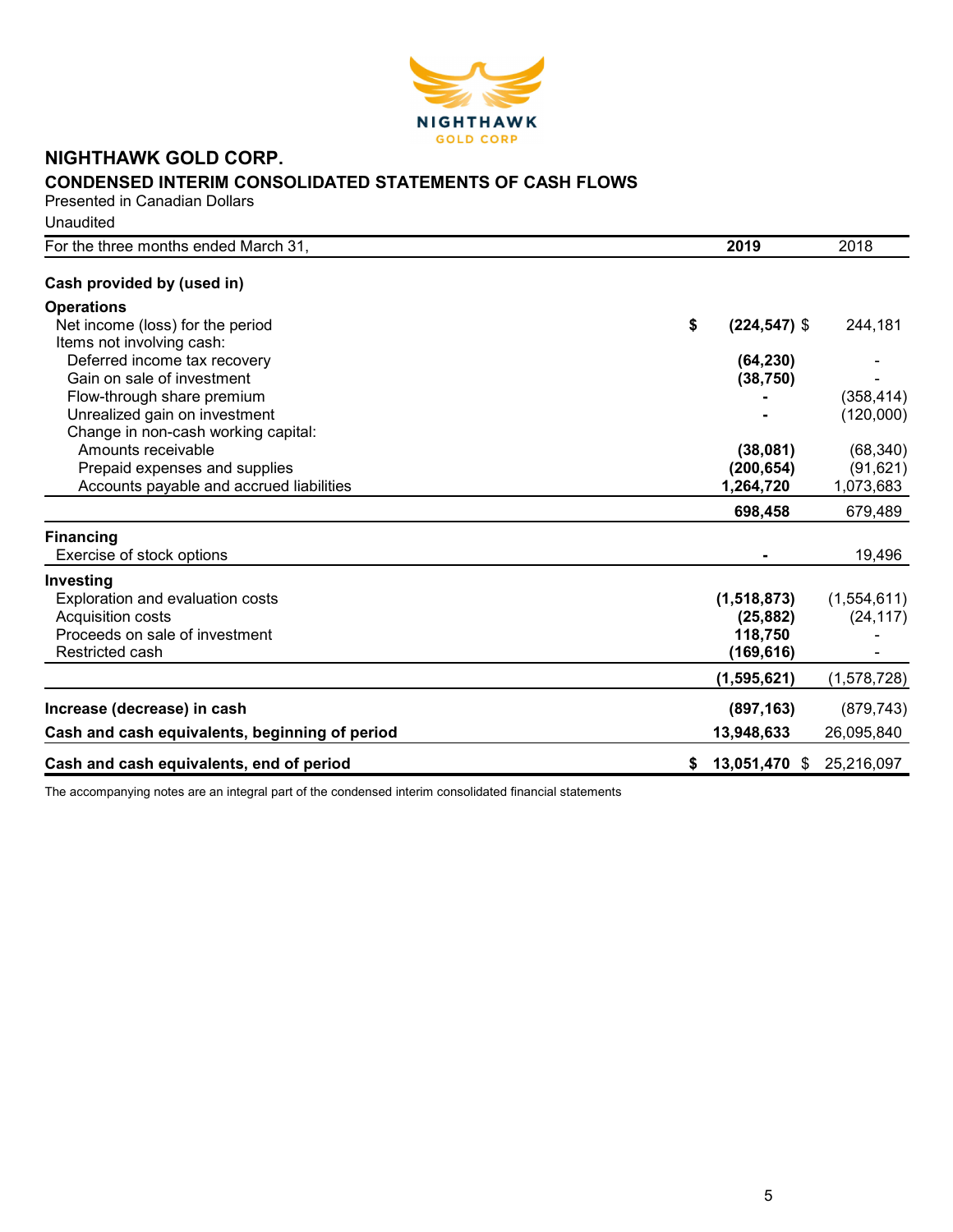

# NIGHTHAWK GOLD CORP. CONDENSED INTERIM CONSOLIDATED STATEMENTS OF CASH FLOWS

Presented in Canadian Dollars **Unaudited** 

| For the three months ended March 31,           | 2019                  | 2018        |
|------------------------------------------------|-----------------------|-------------|
| Cash provided by (used in)                     |                       |             |
| <b>Operations</b>                              |                       |             |
| Net income (loss) for the period               | \$<br>$(224, 547)$ \$ | 244,181     |
| Items not involving cash:                      |                       |             |
| Deferred income tax recovery                   | (64, 230)             |             |
| Gain on sale of investment                     | (38, 750)             |             |
| Flow-through share premium                     |                       | (358, 414)  |
| Unrealized gain on investment                  |                       | (120,000)   |
| Change in non-cash working capital:            |                       |             |
| Amounts receivable                             | (38,081)              | (68, 340)   |
| Prepaid expenses and supplies                  | (200, 654)            | (91, 621)   |
| Accounts payable and accrued liabilities       | 1,264,720             | 1,073,683   |
|                                                | 698,458               | 679,489     |
| <b>Financing</b>                               |                       |             |
| Exercise of stock options                      |                       | 19,496      |
| Investing                                      |                       |             |
| Exploration and evaluation costs               | (1,518,873)           | (1,554,611) |
| <b>Acquisition costs</b>                       | (25, 882)             | (24, 117)   |
| Proceeds on sale of investment                 | 118,750               |             |
| Restricted cash                                | (169,616)             |             |
|                                                | (1, 595, 621)         | (1,578,728) |
| Increase (decrease) in cash                    | (897, 163)            | (879, 743)  |
| Cash and cash equivalents, beginning of period | 13,948,633            | 26,095,840  |
| Cash and cash equivalents, end of period       | 13,051,470 \$<br>\$   | 25,216,097  |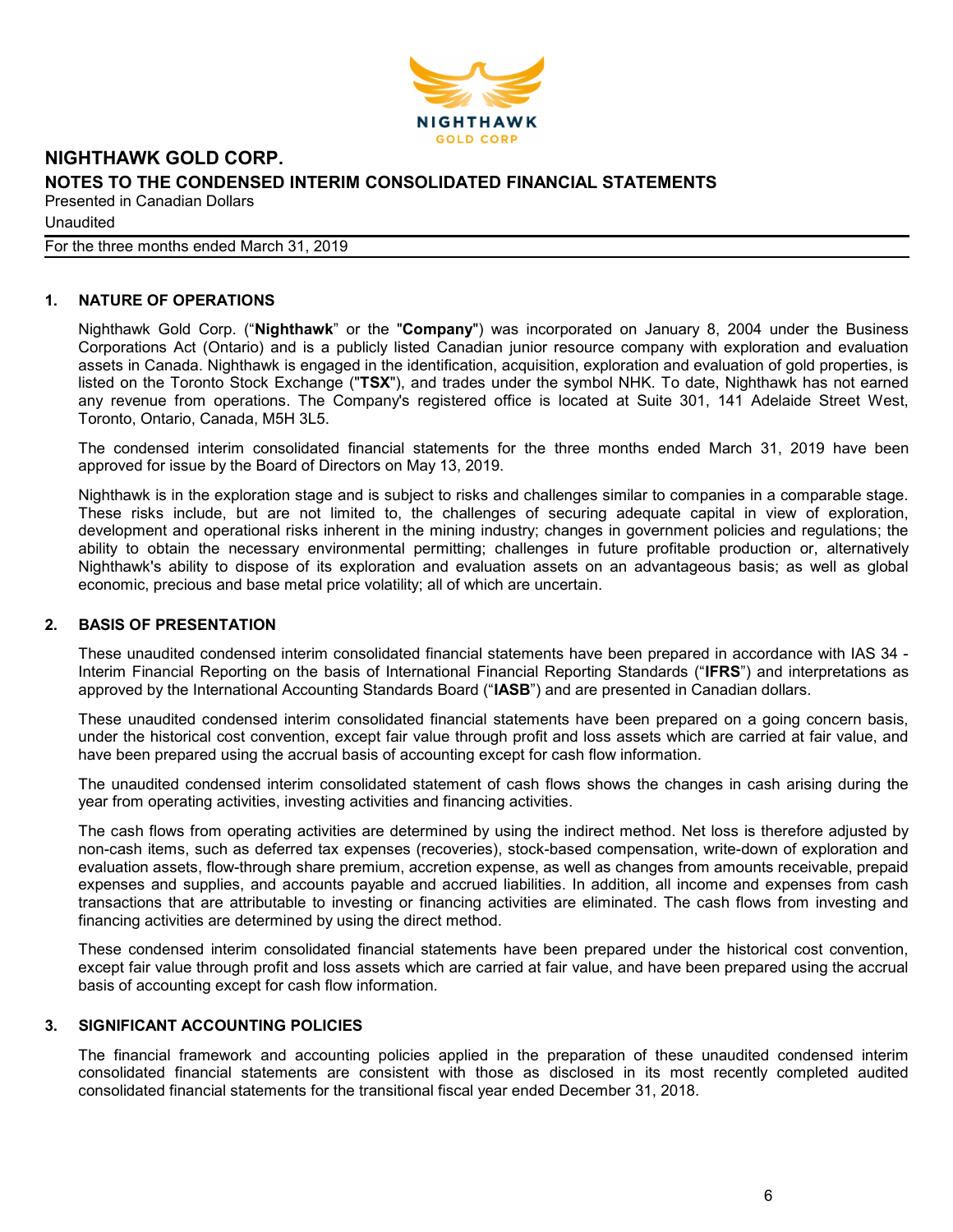

Unaudited

For the three months ended March 31, 2019

## 1. NATURE OF OPERATIONS

Nighthawk Gold Corp. ("Nighthawk" or the "Company") was incorporated on January 8, 2004 under the Business Corporations Act (Ontario) and is a publicly listed Canadian junior resource company with exploration and evaluation assets in Canada. Nighthawk is engaged in the identification, acquisition, exploration and evaluation of gold properties, is listed on the Toronto Stock Exchange ("TSX"), and trades under the symbol NHK. To date, Nighthawk has not earned any revenue from operations. The Company's registered office is located at Suite 301, 141 Adelaide Street West, Toronto, Ontario, Canada, M5H 3L5.

The condensed interim consolidated financial statements for the three months ended March 31, 2019 have been approved for issue by the Board of Directors on May 13, 2019.

Nighthawk is in the exploration stage and is subject to risks and challenges similar to companies in a comparable stage. These risks include, but are not limited to, the challenges of securing adequate capital in view of exploration, development and operational risks inherent in the mining industry; changes in government policies and regulations; the ability to obtain the necessary environmental permitting; challenges in future profitable production or, alternatively Nighthawk's ability to dispose of its exploration and evaluation assets on an advantageous basis; as well as global economic, precious and base metal price volatility; all of which are uncertain.

#### 2. BASIS OF PRESENTATION

These unaudited condensed interim consolidated financial statements have been prepared in accordance with IAS 34 - Interim Financial Reporting on the basis of International Financial Reporting Standards ("IFRS") and interpretations as approved by the International Accounting Standards Board ("IASB") and are presented in Canadian dollars.

These unaudited condensed interim consolidated financial statements have been prepared on a going concern basis, under the historical cost convention, except fair value through profit and loss assets which are carried at fair value, and have been prepared using the accrual basis of accounting except for cash flow information.

The unaudited condensed interim consolidated statement of cash flows shows the changes in cash arising during the year from operating activities, investing activities and financing activities.

The cash flows from operating activities are determined by using the indirect method. Net loss is therefore adjusted by non-cash items, such as deferred tax expenses (recoveries), stock-based compensation, write-down of exploration and evaluation assets, flow-through share premium, accretion expense, as well as changes from amounts receivable, prepaid expenses and supplies, and accounts payable and accrued liabilities. In addition, all income and expenses from cash transactions that are attributable to investing or financing activities are eliminated. The cash flows from investing and financing activities are determined by using the direct method.

These condensed interim consolidated financial statements have been prepared under the historical cost convention, except fair value through profit and loss assets which are carried at fair value, and have been prepared using the accrual basis of accounting except for cash flow information.

#### 3. SIGNIFICANT ACCOUNTING POLICIES

The financial framework and accounting policies applied in the preparation of these unaudited condensed interim consolidated financial statements are consistent with those as disclosed in its most recently completed audited consolidated financial statements for the transitional fiscal year ended December 31, 2018.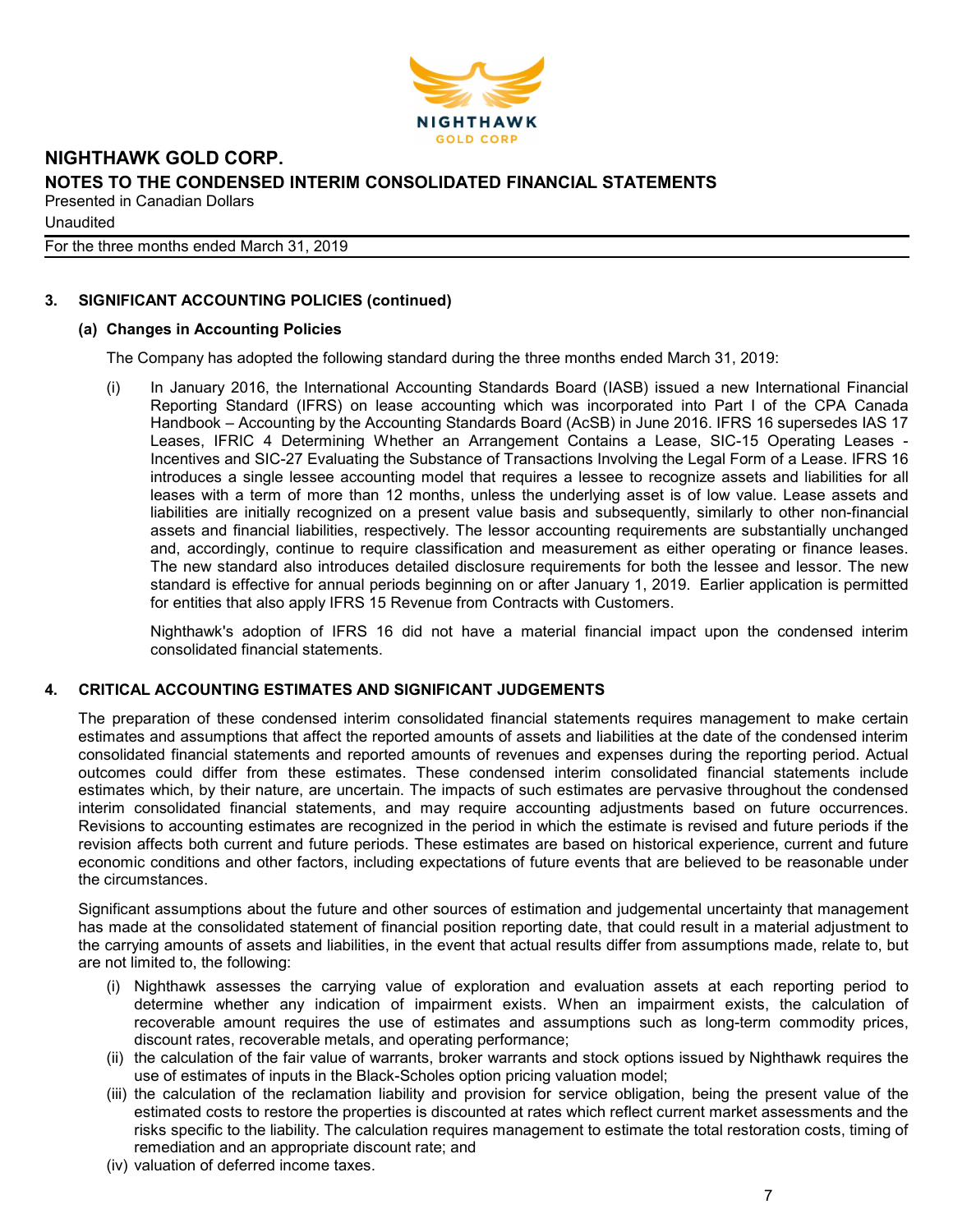

**Unaudited** 

For the three months ended March 31, 2019

# 3. SIGNIFICANT ACCOUNTING POLICIES (continued)

#### (a) Changes in Accounting Policies

The Company has adopted the following standard during the three months ended March 31, 2019:

(i) In January 2016, the International Accounting Standards Board (IASB) issued a new International Financial Reporting Standard (IFRS) on lease accounting which was incorporated into Part I of the CPA Canada Handbook – Accounting by the Accounting Standards Board (AcSB) in June 2016. IFRS 16 supersedes IAS 17 Leases, IFRIC 4 Determining Whether an Arrangement Contains a Lease, SIC-15 Operating Leases - Incentives and SIC-27 Evaluating the Substance of Transactions Involving the Legal Form of a Lease. IFRS 16 introduces a single lessee accounting model that requires a lessee to recognize assets and liabilities for all leases with a term of more than 12 months, unless the underlying asset is of low value. Lease assets and liabilities are initially recognized on a present value basis and subsequently, similarly to other non-financial assets and financial liabilities, respectively. The lessor accounting requirements are substantially unchanged and, accordingly, continue to require classification and measurement as either operating or finance leases. The new standard also introduces detailed disclosure requirements for both the lessee and lessor. The new standard is effective for annual periods beginning on or after January 1, 2019. Earlier application is permitted for entities that also apply IFRS 15 Revenue from Contracts with Customers.

Nighthawk's adoption of IFRS 16 did not have a material financial impact upon the condensed interim consolidated financial statements.

#### 4. CRITICAL ACCOUNTING ESTIMATES AND SIGNIFICANT JUDGEMENTS

The preparation of these condensed interim consolidated financial statements requires management to make certain estimates and assumptions that affect the reported amounts of assets and liabilities at the date of the condensed interim consolidated financial statements and reported amounts of revenues and expenses during the reporting period. Actual outcomes could differ from these estimates. These condensed interim consolidated financial statements include estimates which, by their nature, are uncertain. The impacts of such estimates are pervasive throughout the condensed interim consolidated financial statements, and may require accounting adjustments based on future occurrences. Revisions to accounting estimates are recognized in the period in which the estimate is revised and future periods if the revision affects both current and future periods. These estimates are based on historical experience, current and future economic conditions and other factors, including expectations of future events that are believed to be reasonable under the circumstances.

Significant assumptions about the future and other sources of estimation and judgemental uncertainty that management has made at the consolidated statement of financial position reporting date, that could result in a material adjustment to the carrying amounts of assets and liabilities, in the event that actual results differ from assumptions made, relate to, but are not limited to, the following:

- (i) Nighthawk assesses the carrying value of exploration and evaluation assets at each reporting period to determine whether any indication of impairment exists. When an impairment exists, the calculation of recoverable amount requires the use of estimates and assumptions such as long-term commodity prices, discount rates, recoverable metals, and operating performance;
- (ii) the calculation of the fair value of warrants, broker warrants and stock options issued by Nighthawk requires the use of estimates of inputs in the Black-Scholes option pricing valuation model;
- (iii) the calculation of the reclamation liability and provision for service obligation, being the present value of the estimated costs to restore the properties is discounted at rates which reflect current market assessments and the risks specific to the liability. The calculation requires management to estimate the total restoration costs, timing of remediation and an appropriate discount rate; and
- (iv) valuation of deferred income taxes.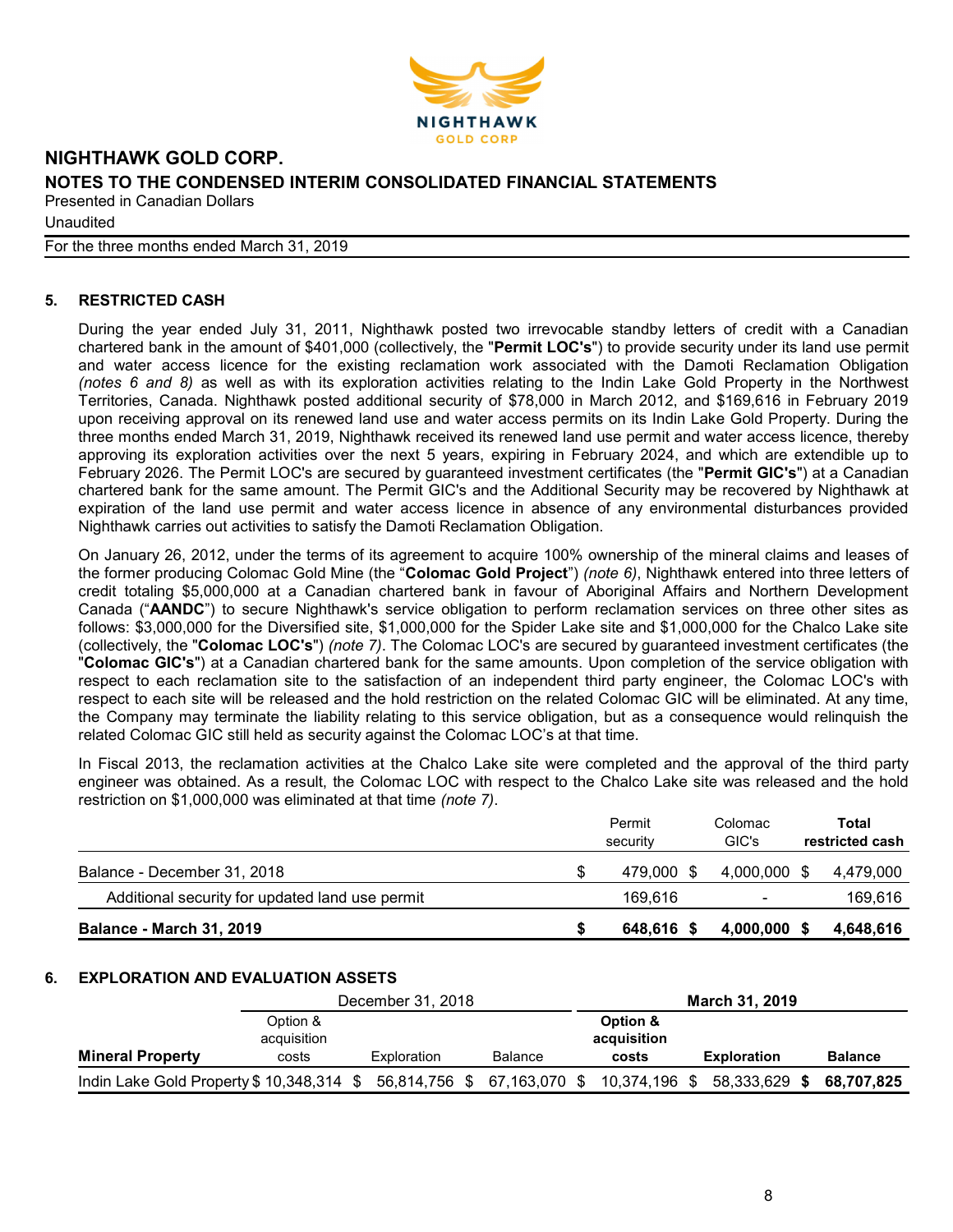

**Unaudited** 

For the three months ended March 31, 2019

# 5. RESTRICTED CASH

During the year ended July 31, 2011, Nighthawk posted two irrevocable standby letters of credit with a Canadian chartered bank in the amount of \$401,000 (collectively, the "Permit LOC's") to provide security under its land use permit and water access licence for the existing reclamation work associated with the Damoti Reclamation Obligation (notes 6 and 8) as well as with its exploration activities relating to the Indin Lake Gold Property in the Northwest Territories, Canada. Nighthawk posted additional security of \$78,000 in March 2012, and \$169,616 in February 2019 upon receiving approval on its renewed land use and water access permits on its Indin Lake Gold Property. During the three months ended March 31, 2019, Nighthawk received its renewed land use permit and water access licence, thereby approving its exploration activities over the next 5 years, expiring in February 2024, and which are extendible up to February 2026. The Permit LOC's are secured by quaranteed investment certificates (the "Permit GIC's") at a Canadian chartered bank for the same amount. The Permit GIC's and the Additional Security may be recovered by Nighthawk at expiration of the land use permit and water access licence in absence of any environmental disturbances provided Nighthawk carries out activities to satisfy the Damoti Reclamation Obligation.

On January 26, 2012, under the terms of its agreement to acquire 100% ownership of the mineral claims and leases of the former producing Colomac Gold Mine (the "Colomac Gold Project") (note 6), Nighthawk entered into three letters of credit totaling \$5,000,000 at a Canadian chartered bank in favour of Aboriginal Affairs and Northern Development Canada ("AANDC") to secure Nighthawk's service obligation to perform reclamation services on three other sites as follows: \$3,000,000 for the Diversified site, \$1,000,000 for the Spider Lake site and \$1,000,000 for the Chalco Lake site (collectively, the "Colomac LOC's") (note 7). The Colomac LOC's are secured by guaranteed investment certificates (the "Colomac GIC's") at a Canadian chartered bank for the same amounts. Upon completion of the service obligation with respect to each reclamation site to the satisfaction of an independent third party engineer, the Colomac LOC's with respect to each site will be released and the hold restriction on the related Colomac GIC will be eliminated. At any time, the Company may terminate the liability relating to this service obligation, but as a consequence would relinquish the related Colomac GIC still held as security against the Colomac LOC's at that time.

In Fiscal 2013, the reclamation activities at the Chalco Lake site were completed and the approval of the third party engineer was obtained. As a result, the Colomac LOC with respect to the Chalco Lake site was released and the hold restriction on \$1,000,000 was eliminated at that time (note 7).

|                                                 | Permit<br>security | Colomac<br>GIC's         | Total<br>restricted cash |
|-------------------------------------------------|--------------------|--------------------------|--------------------------|
| Balance - December 31, 2018                     | 479.000 \$         | 4.000.000 \$             | 4.479.000                |
| Additional security for updated land use permit | 169.616            | $\overline{\phantom{0}}$ | 169,616                  |
| <b>Balance - March 31, 2019</b>                 | 648.616            | 4,000,000                | 4,648,616                |

#### 6. EXPLORATION AND EVALUATION ASSETS

|                                           |                         | December 31, 2018 |                |                         | <b>March 31, 2019</b> |                |
|-------------------------------------------|-------------------------|-------------------|----------------|-------------------------|-----------------------|----------------|
|                                           | Option &<br>acquisition |                   |                | Option &<br>acquisition |                       |                |
| <b>Mineral Property</b>                   | costs                   | Exploration       | <b>Balance</b> | costs                   | <b>Exploration</b>    | <b>Balance</b> |
| Indin Lake Gold Property \$ 10,348,314 \$ |                         | 56,814,756 \$     | 67,163,070 \$  | 10,374,196 \$           | 58,333,629 \$         | 68.707.825     |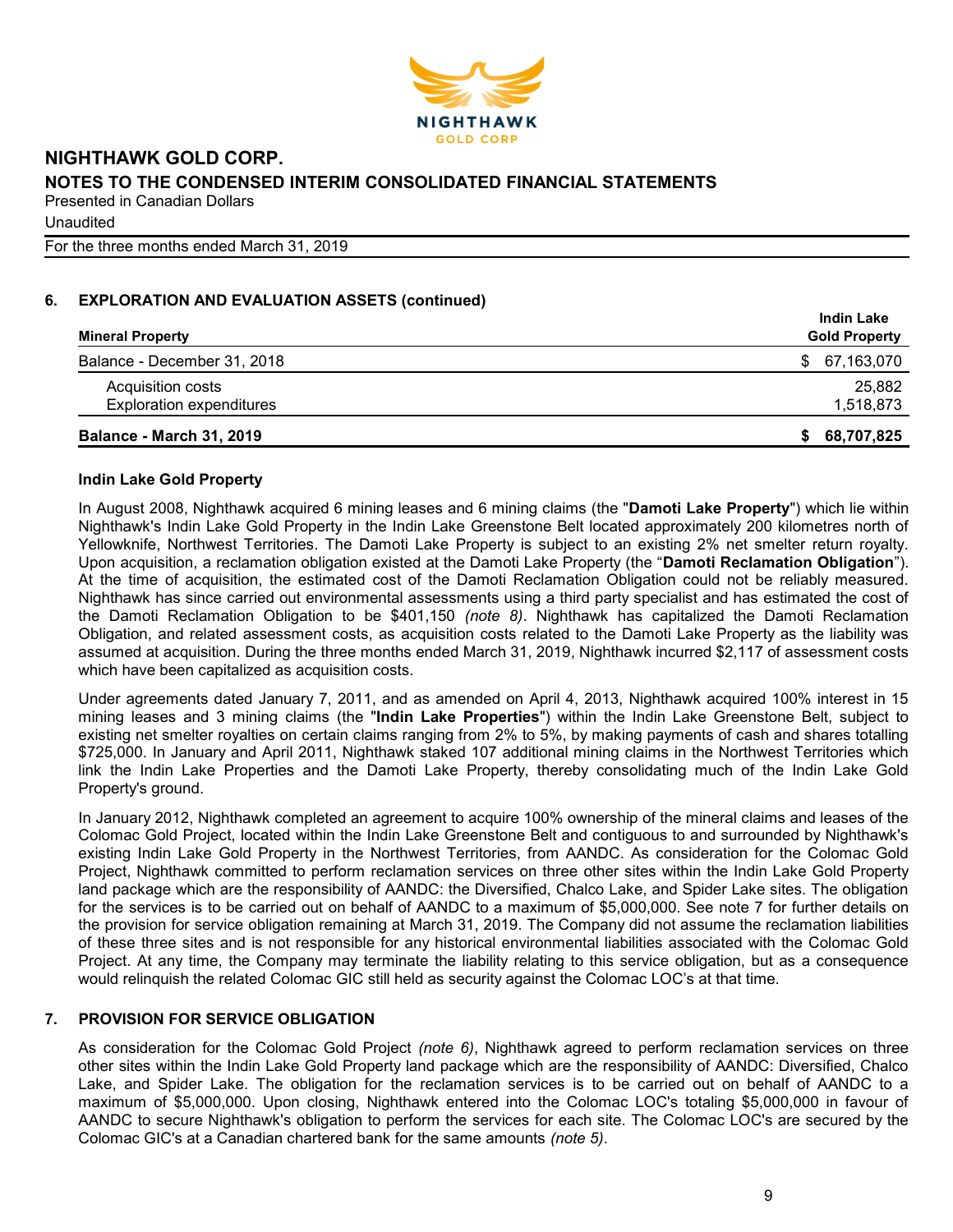

For the three months ended March 31, 2019

# 6. EXPLORATION AND EVALUATION ASSETS (continued)

| <b>Mineral Property</b>         | <b>Indin Lake</b><br><b>Gold Property</b> |
|---------------------------------|-------------------------------------------|
| Balance - December 31, 2018     | 67,163,070<br>\$.                         |
| Acquisition costs               | 25,882                                    |
| <b>Exploration expenditures</b> | 1,518,873                                 |
| <b>Balance - March 31, 2019</b> | 68,707,825<br>S.                          |

#### Indin Lake Gold Property

In August 2008, Nighthawk acquired 6 mining leases and 6 mining claims (the "Damoti Lake Property") which lie within Nighthawk's Indin Lake Gold Property in the Indin Lake Greenstone Belt located approximately 200 kilometres north of Yellowknife, Northwest Territories. The Damoti Lake Property is subject to an existing 2% net smelter return royalty. Upon acquisition, a reclamation obligation existed at the Damoti Lake Property (the "Damoti Reclamation Obligation"). At the time of acquisition, the estimated cost of the Damoti Reclamation Obligation could not be reliably measured. Nighthawk has since carried out environmental assessments using a third party specialist and has estimated the cost of the Damoti Reclamation Obligation to be \$401,150 (note 8). Nighthawk has capitalized the Damoti Reclamation Obligation, and related assessment costs, as acquisition costs related to the Damoti Lake Property as the liability was assumed at acquisition. During the three months ended March 31, 2019, Nighthawk incurred \$2,117 of assessment costs which have been capitalized as acquisition costs.

Under agreements dated January 7, 2011, and as amended on April 4, 2013, Nighthawk acquired 100% interest in 15 mining leases and 3 mining claims (the "Indin Lake Properties") within the Indin Lake Greenstone Belt, subject to existing net smelter royalties on certain claims ranging from 2% to 5%, by making payments of cash and shares totalling \$725,000. In January and April 2011, Nighthawk staked 107 additional mining claims in the Northwest Territories which link the Indin Lake Properties and the Damoti Lake Property, thereby consolidating much of the Indin Lake Gold Property's ground.

In January 2012, Nighthawk completed an agreement to acquire 100% ownership of the mineral claims and leases of the Colomac Gold Project, located within the Indin Lake Greenstone Belt and contiguous to and surrounded by Nighthawk's existing Indin Lake Gold Property in the Northwest Territories, from AANDC. As consideration for the Colomac Gold Project, Nighthawk committed to perform reclamation services on three other sites within the Indin Lake Gold Property land package which are the responsibility of AANDC: the Diversified, Chalco Lake, and Spider Lake sites. The obligation for the services is to be carried out on behalf of AANDC to a maximum of \$5,000,000. See note 7 for further details on the provision for service obligation remaining at March 31, 2019. The Company did not assume the reclamation liabilities of these three sites and is not responsible for any historical environmental liabilities associated with the Colomac Gold Project. At any time, the Company may terminate the liability relating to this service obligation, but as a consequence would relinquish the related Colomac GIC still held as security against the Colomac LOC's at that time.

# 7. PROVISION FOR SERVICE OBLIGATION

As consideration for the Colomac Gold Project (note 6), Nighthawk agreed to perform reclamation services on three other sites within the Indin Lake Gold Property land package which are the responsibility of AANDC: Diversified, Chalco Lake, and Spider Lake. The obligation for the reclamation services is to be carried out on behalf of AANDC to a maximum of \$5,000,000. Upon closing, Nighthawk entered into the Colomac LOC's totaling \$5,000,000 in favour of AANDC to secure Nighthawk's obligation to perform the services for each site. The Colomac LOC's are secured by the Colomac GIC's at a Canadian chartered bank for the same amounts (note 5).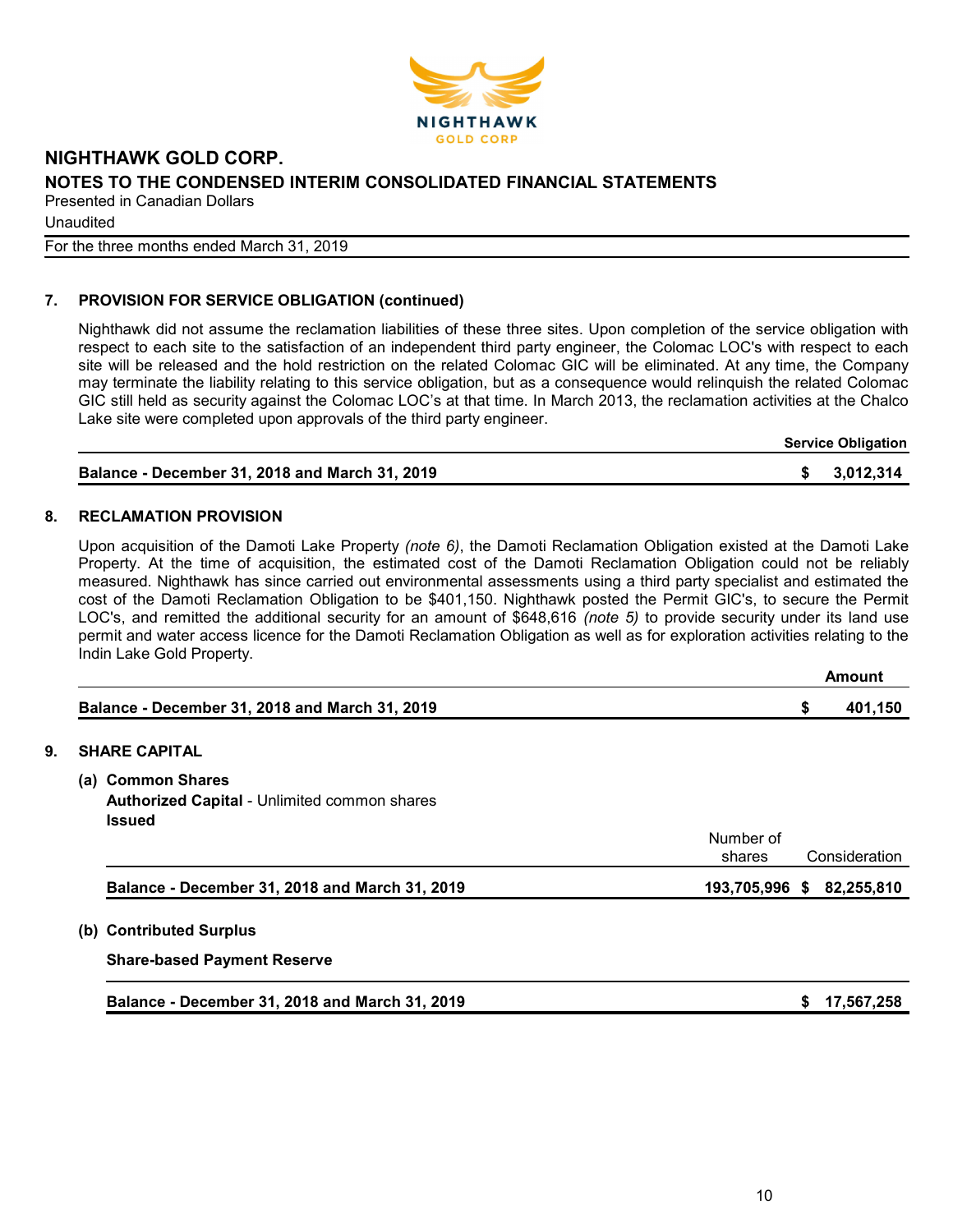

Unaudited

For the three months ended March 31, 2019

# 7. PROVISION FOR SERVICE OBLIGATION (continued)

Nighthawk did not assume the reclamation liabilities of these three sites. Upon completion of the service obligation with respect to each site to the satisfaction of an independent third party engineer, the Colomac LOC's with respect to each site will be released and the hold restriction on the related Colomac GIC will be eliminated. At any time, the Company may terminate the liability relating to this service obligation, but as a consequence would relinquish the related Colomac GIC still held as security against the Colomac LOC's at that time. In March 2013, the reclamation activities at the Chalco Lake site were completed upon approvals of the third party engineer.

Service Obligation

| <b>Balance - December 31, 2018 and March 31, 2019</b> | \$3,012,314 |
|-------------------------------------------------------|-------------|
|                                                       |             |

#### 8. RECLAMATION PROVISION

Upon acquisition of the Damoti Lake Property (note 6), the Damoti Reclamation Obligation existed at the Damoti Lake Property. At the time of acquisition, the estimated cost of the Damoti Reclamation Obligation could not be reliably measured. Nighthawk has since carried out environmental assessments using a third party specialist and estimated the cost of the Damoti Reclamation Obligation to be \$401,150. Nighthawk posted the Permit GIC's, to secure the Permit LOC's, and remitted the additional security for an amount of \$648,616 *(note 5)* to provide security under its land use permit and water access licence for the Damoti Reclamation Obligation as well as for exploration activities relating to the Indin Lake Gold Property.

|                                                       | Amount  |
|-------------------------------------------------------|---------|
| <b>Balance - December 31, 2018 and March 31, 2019</b> | 401.150 |

#### 9. SHARE CAPITAL

(a) Common Shares Authorized Capital - Unlimited common shares

| Balance - December 31, 2018 and March 31, 2019 | 193,705,996 \$ 82,255,810            |  |
|------------------------------------------------|--------------------------------------|--|
|                                                | Number of<br>Consideration<br>shares |  |
| <b>Issued</b>                                  |                                      |  |

(b) Contributed Surplus

Share-based Payment Reserve

| Balance - December 31, 2018 and March 31, 2019 | \$ 17,567,258 |
|------------------------------------------------|---------------|
|------------------------------------------------|---------------|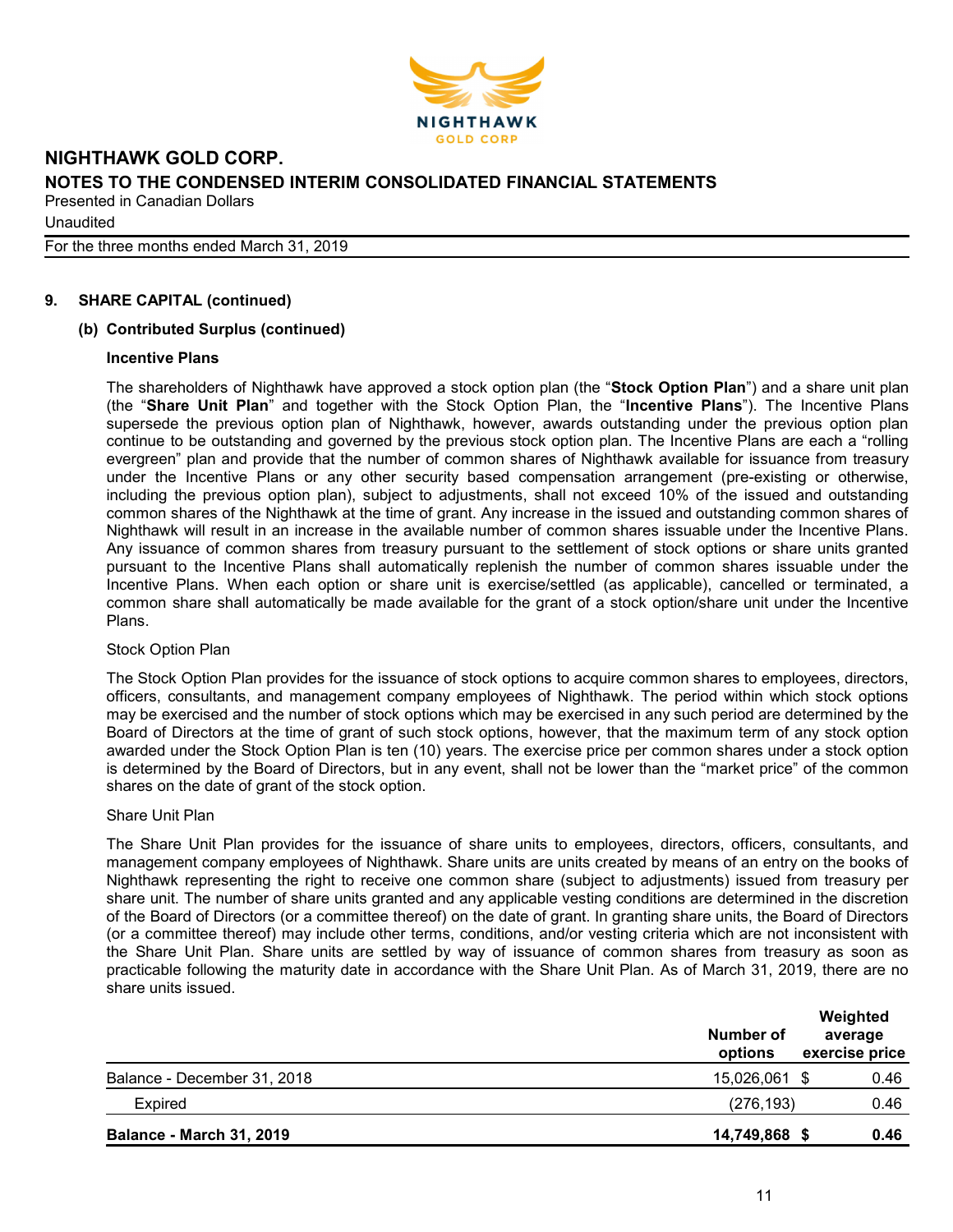

**Unaudited** 

For the three months ended March 31, 2019

# 9. SHARE CAPITAL (continued)

#### (b) Contributed Surplus (continued)

#### Incentive Plans

The shareholders of Nighthawk have approved a stock option plan (the "Stock Option Plan") and a share unit plan (the "Share Unit Plan" and together with the Stock Option Plan, the "Incentive Plans"). The Incentive Plans supersede the previous option plan of Nighthawk, however, awards outstanding under the previous option plan continue to be outstanding and governed by the previous stock option plan. The Incentive Plans are each a "rolling evergreen" plan and provide that the number of common shares of Nighthawk available for issuance from treasury under the Incentive Plans or any other security based compensation arrangement (pre-existing or otherwise, including the previous option plan), subject to adjustments, shall not exceed 10% of the issued and outstanding common shares of the Nighthawk at the time of grant. Any increase in the issued and outstanding common shares of Nighthawk will result in an increase in the available number of common shares issuable under the Incentive Plans. Any issuance of common shares from treasury pursuant to the settlement of stock options or share units granted pursuant to the Incentive Plans shall automatically replenish the number of common shares issuable under the Incentive Plans. When each option or share unit is exercise/settled (as applicable), cancelled or terminated, a common share shall automatically be made available for the grant of a stock option/share unit under the Incentive Plans.

#### Stock Option Plan

The Stock Option Plan provides for the issuance of stock options to acquire common shares to employees, directors, officers, consultants, and management company employees of Nighthawk. The period within which stock options may be exercised and the number of stock options which may be exercised in any such period are determined by the Board of Directors at the time of grant of such stock options, however, that the maximum term of any stock option awarded under the Stock Option Plan is ten (10) years. The exercise price per common shares under a stock option is determined by the Board of Directors, but in any event, shall not be lower than the "market price" of the common shares on the date of grant of the stock option.

#### Share Unit Plan

The Share Unit Plan provides for the issuance of share units to employees, directors, officers, consultants, and management company employees of Nighthawk. Share units are units created by means of an entry on the books of Nighthawk representing the right to receive one common share (subject to adjustments) issued from treasury per share unit. The number of share units granted and any applicable vesting conditions are determined in the discretion of the Board of Directors (or a committee thereof) on the date of grant. In granting share units, the Board of Directors (or a committee thereof) may include other terms, conditions, and/or vesting criteria which are not inconsistent with the Share Unit Plan. Share units are settled by way of issuance of common shares from treasury as soon as practicable following the maturity date in accordance with the Share Unit Plan. As of March 31, 2019, there are no share units issued.

|                                 | Number of<br>options | Weighted<br>average<br>exercise price |
|---------------------------------|----------------------|---------------------------------------|
| Balance - December 31, 2018     | 15,026,061 \$        | 0.46                                  |
| <b>Expired</b>                  | (276, 193)           | 0.46                                  |
| <b>Balance - March 31, 2019</b> | 14,749,868 \$        | 0.46                                  |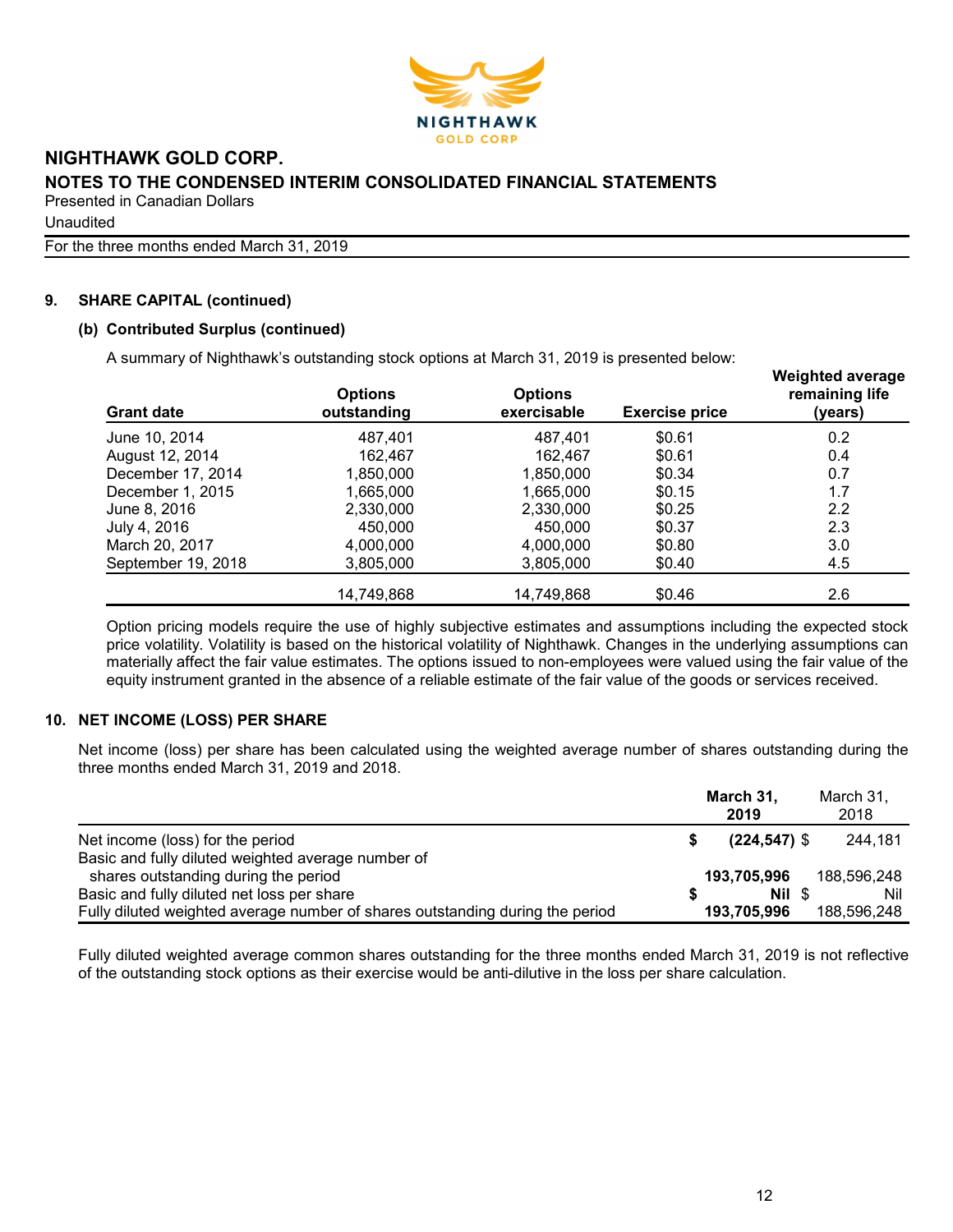

Unaudited

For the three months ended March 31, 2019

# 9. SHARE CAPITAL (continued)

#### (b) Contributed Surplus (continued)

A summary of Nighthawk's outstanding stock options at March 31, 2019 is presented below:

| <b>Grant date</b>  | <b>Options</b><br>outstanding | <b>Options</b><br>exercisable | <b>Exercise price</b> | <b>Weighted average</b><br>remaining life<br>(years) |  |  |
|--------------------|-------------------------------|-------------------------------|-----------------------|------------------------------------------------------|--|--|
| June 10, 2014      | 487.401                       | 487.401                       | \$0.61                | 0.2                                                  |  |  |
| August 12, 2014    | 162.467                       | 162.467                       | \$0.61                | 0.4                                                  |  |  |
| December 17, 2014  | 1,850,000                     | 1,850,000                     | \$0.34                | 0.7                                                  |  |  |
| December 1, 2015   | 1,665,000                     | 1,665,000                     | \$0.15                | 1.7                                                  |  |  |
| June 8, 2016       | 2,330,000                     | 2,330,000                     | \$0.25                | 2.2                                                  |  |  |
| July 4, 2016       | 450,000                       | 450,000                       | \$0.37                | 2.3                                                  |  |  |
| March 20, 2017     | 4,000,000                     | 4,000,000                     | \$0.80                | 3.0                                                  |  |  |
| September 19, 2018 | 3,805,000                     | 3,805,000                     | \$0.40                | 4.5                                                  |  |  |
|                    | 14,749,868                    | 14,749,868                    | \$0.46                | 2.6                                                  |  |  |

Option pricing models require the use of highly subjective estimates and assumptions including the expected stock price volatility. Volatility is based on the historical volatility of Nighthawk. Changes in the underlying assumptions can materially affect the fair value estimates. The options issued to non-employees were valued using the fair value of the equity instrument granted in the absence of a reliable estimate of the fair value of the goods or services received.

#### 10. NET INCOME (LOSS) PER SHARE

Net income (loss) per share has been calculated using the weighted average number of shares outstanding during the three months ended March 31, 2019 and 2018.

|                                                                               | March 31,<br>2019 | March 31,<br>2018 |
|-------------------------------------------------------------------------------|-------------------|-------------------|
| Net income (loss) for the period                                              | $(224, 547)$ \$   | 244.181           |
| Basic and fully diluted weighted average number of                            |                   |                   |
| shares outstanding during the period                                          | 193,705,996       | 188.596.248       |
| Basic and fully diluted net loss per share                                    | Nil \$            | Nil               |
| Fully diluted weighted average number of shares outstanding during the period | 193,705,996       | 188.596.248       |

Fully diluted weighted average common shares outstanding for the three months ended March 31, 2019 is not reflective of the outstanding stock options as their exercise would be anti-dilutive in the loss per share calculation.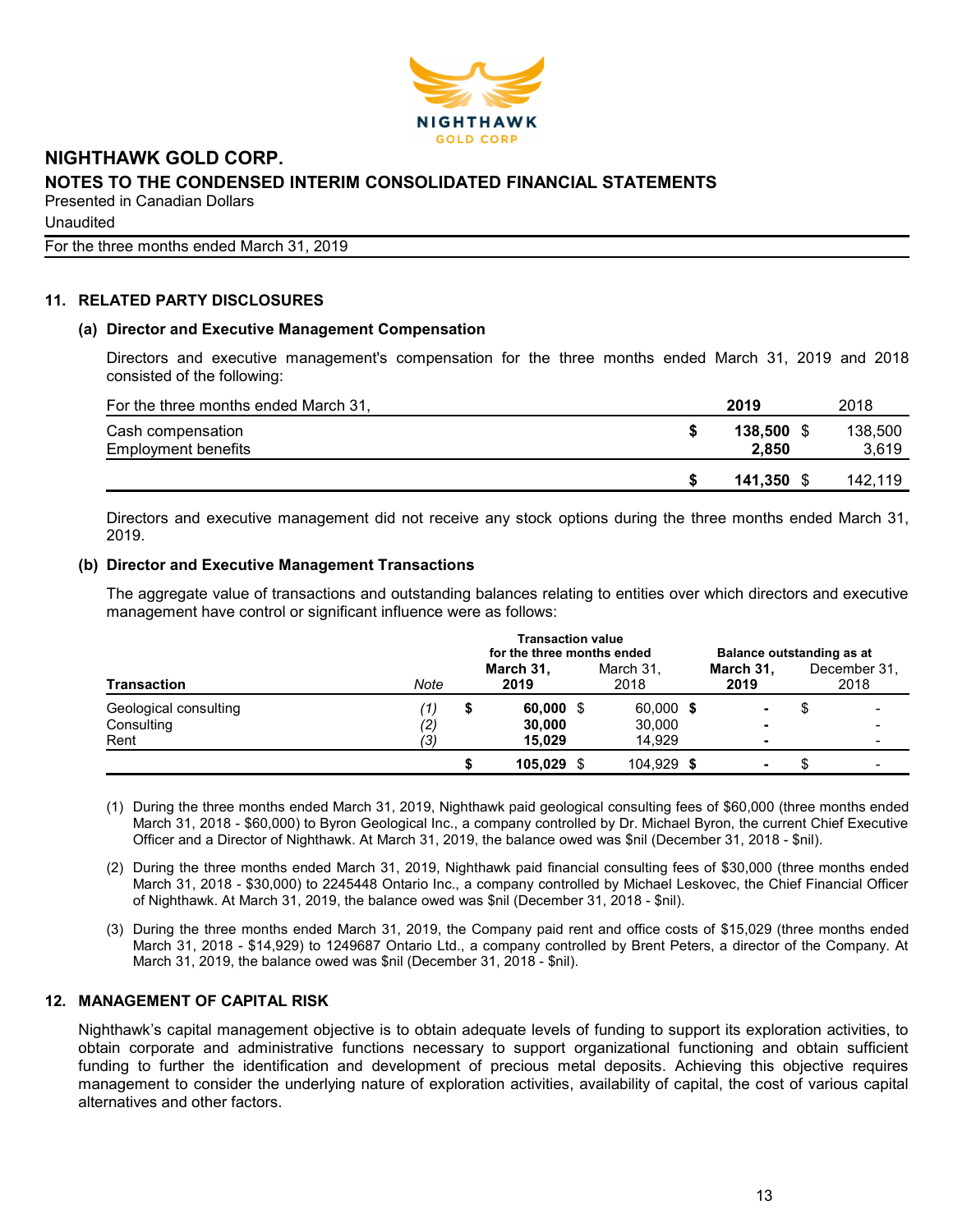

**Unaudited** 

For the three months ended March 31, 2019

# 11. RELATED PARTY DISCLOSURES

#### (a) Director and Executive Management Compensation

Directors and executive management's compensation for the three months ended March 31, 2019 and 2018 consisted of the following:

| For the three months ended March 31,            | 2019             | 2018             |
|-------------------------------------------------|------------------|------------------|
| Cash compensation<br><b>Employment benefits</b> | 138.500<br>2.850 | 138,500<br>3,619 |
|                                                 | 141.350 \$       | 142.119          |

Directors and executive management did not receive any stock options during the three months ended March 31, 2019.

#### (b) Director and Executive Management Transactions

The aggregate value of transactions and outstanding balances relating to entities over which directors and executive management have control or significant influence were as follows:

|                       | <b>Transaction value</b><br>for the three months ended |   |                   |  | Balance outstanding as at |                          |  |                      |
|-----------------------|--------------------------------------------------------|---|-------------------|--|---------------------------|--------------------------|--|----------------------|
| Transaction           | Note                                                   |   | March 31,<br>2019 |  | March 31,<br>2018         | March 31,<br>2019        |  | December 31,<br>2018 |
| Geological consulting | [1]                                                    | Ð | $60,000$ \$       |  | 60,000 \$                 |                          |  |                      |
| Consulting            | (2)                                                    |   | 30,000            |  | 30,000                    | $\overline{\phantom{0}}$ |  |                      |
| Rent                  | (3)                                                    |   | 15.029            |  | 14.929                    |                          |  |                      |
|                       |                                                        |   | 105.029           |  | 104,929 \$                | ۰                        |  |                      |

- (1) During the three months ended March 31, 2019, Nighthawk paid geological consulting fees of \$60,000 (three months ended March 31, 2018 - \$60,000) to Byron Geological Inc., a company controlled by Dr. Michael Byron, the current Chief Executive Officer and a Director of Nighthawk. At March 31, 2019, the balance owed was \$nil (December 31, 2018 - \$nil).
- (2) During the three months ended March 31, 2019, Nighthawk paid financial consulting fees of \$30,000 (three months ended March 31, 2018 - \$30,000) to 2245448 Ontario Inc., a company controlled by Michael Leskovec, the Chief Financial Officer of Nighthawk. At March 31, 2019, the balance owed was \$nil (December 31, 2018 - \$nil).
- (3) During the three months ended March 31, 2019, the Company paid rent and office costs of \$15,029 (three months ended March 31, 2018 - \$14,929) to 1249687 Ontario Ltd., a company controlled by Brent Peters, a director of the Company. At March 31, 2019, the balance owed was \$nil (December 31, 2018 - \$nil).

# 12. MANAGEMENT OF CAPITAL RISK

Nighthawk's capital management objective is to obtain adequate levels of funding to support its exploration activities, to obtain corporate and administrative functions necessary to support organizational functioning and obtain sufficient funding to further the identification and development of precious metal deposits. Achieving this objective requires management to consider the underlying nature of exploration activities, availability of capital, the cost of various capital alternatives and other factors.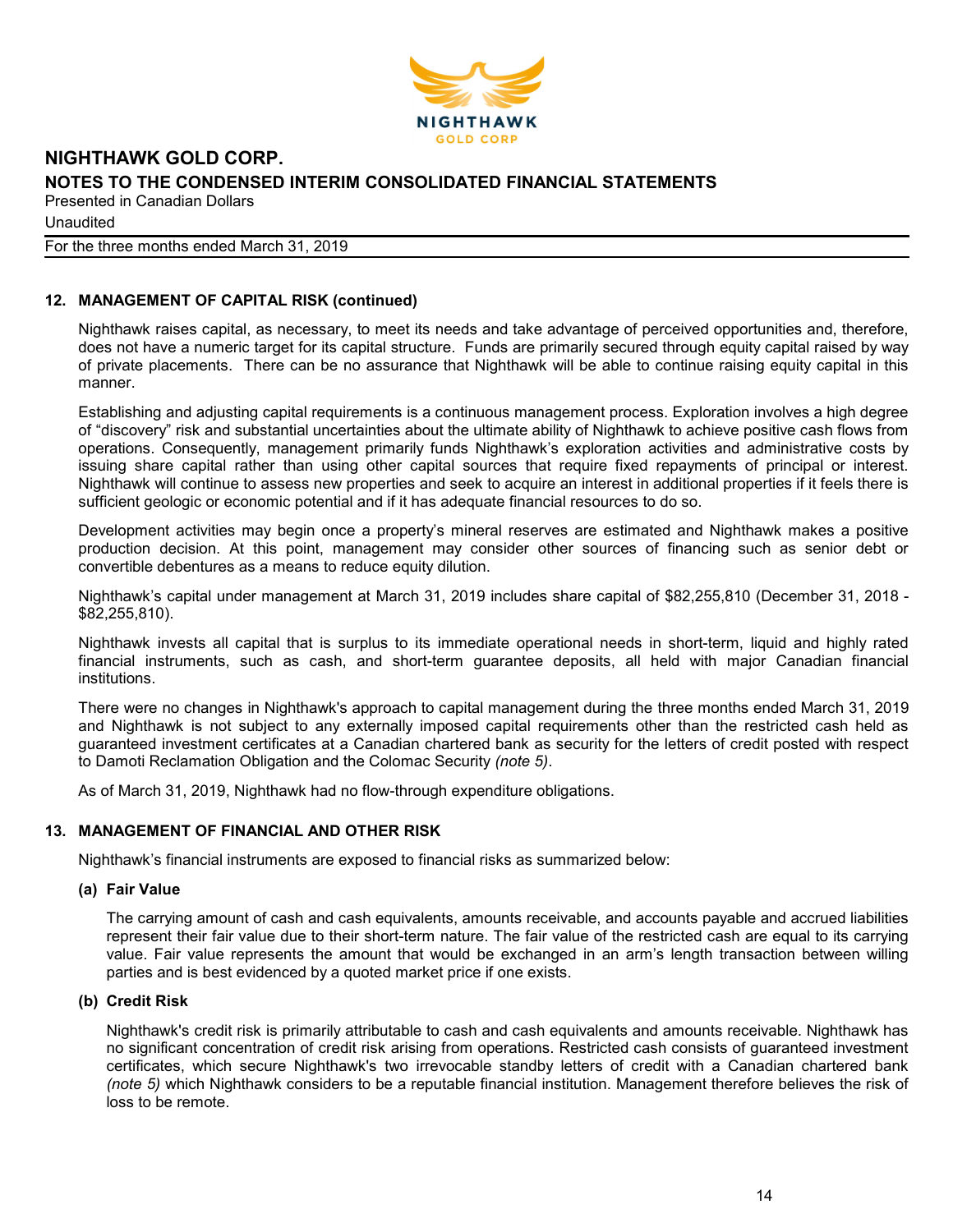

**Unaudited** 

#### For the three months ended March 31, 2019

## 12. MANAGEMENT OF CAPITAL RISK (continued)

Nighthawk raises capital, as necessary, to meet its needs and take advantage of perceived opportunities and, therefore, does not have a numeric target for its capital structure. Funds are primarily secured through equity capital raised by way of private placements. There can be no assurance that Nighthawk will be able to continue raising equity capital in this manner.

Establishing and adjusting capital requirements is a continuous management process. Exploration involves a high degree of "discovery" risk and substantial uncertainties about the ultimate ability of Nighthawk to achieve positive cash flows from operations. Consequently, management primarily funds Nighthawk's exploration activities and administrative costs by issuing share capital rather than using other capital sources that require fixed repayments of principal or interest. Nighthawk will continue to assess new properties and seek to acquire an interest in additional properties if it feels there is sufficient geologic or economic potential and if it has adequate financial resources to do so.

Development activities may begin once a property's mineral reserves are estimated and Nighthawk makes a positive production decision. At this point, management may consider other sources of financing such as senior debt or convertible debentures as a means to reduce equity dilution.

Nighthawk's capital under management at March 31, 2019 includes share capital of \$82,255,810 (December 31, 2018 - \$82,255,810).

Nighthawk invests all capital that is surplus to its immediate operational needs in short-term, liquid and highly rated financial instruments, such as cash, and short-term guarantee deposits, all held with major Canadian financial institutions.

There were no changes in Nighthawk's approach to capital management during the three months ended March 31, 2019 and Nighthawk is not subject to any externally imposed capital requirements other than the restricted cash held as guaranteed investment certificates at a Canadian chartered bank as security for the letters of credit posted with respect to Damoti Reclamation Obligation and the Colomac Security (note 5).

As of March 31, 2019, Nighthawk had no flow-through expenditure obligations.

#### 13. MANAGEMENT OF FINANCIAL AND OTHER RISK

Nighthawk's financial instruments are exposed to financial risks as summarized below:

#### (a) Fair Value

The carrying amount of cash and cash equivalents, amounts receivable, and accounts payable and accrued liabilities represent their fair value due to their short-term nature. The fair value of the restricted cash are equal to its carrying value. Fair value represents the amount that would be exchanged in an arm's length transaction between willing parties and is best evidenced by a quoted market price if one exists.

#### (b) Credit Risk

Nighthawk's credit risk is primarily attributable to cash and cash equivalents and amounts receivable. Nighthawk has no significant concentration of credit risk arising from operations. Restricted cash consists of guaranteed investment certificates, which secure Nighthawk's two irrevocable standby letters of credit with a Canadian chartered bank (note 5) which Nighthawk considers to be a reputable financial institution. Management therefore believes the risk of loss to be remote.